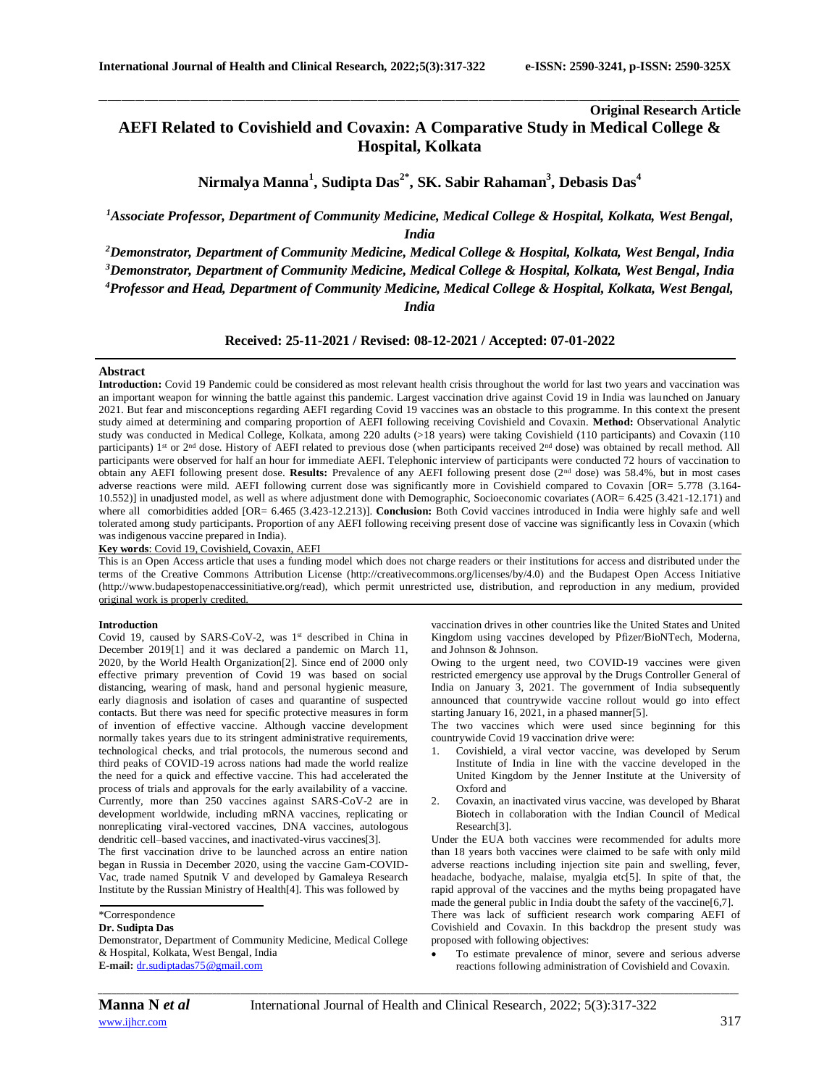**Original Research Article**

# **AEFI Related to Covishield and Covaxin: A Comparative Study in Medical College & Hospital, Kolkata**

\_\_\_\_\_\_\_\_\_\_\_\_\_\_\_\_\_\_\_\_\_\_\_\_\_\_\_\_\_\_\_\_\_\_\_\_\_\_\_\_\_\_\_\_\_\_\_\_\_\_\_\_\_\_\_\_\_\_\_\_\_\_\_\_\_\_\_\_\_\_\_\_\_\_\_\_\_\_\_\_\_\_\_\_\_\_\_\_\_\_\_\_\_\_\_\_\_\_\_\_\_\_\_\_\_\_\_\_\_\_\_\_\_\_\_\_\_\_\_\_\_\_\_\_\_\_\_\_\_\_\_\_\_\_\_\_\_\_\_\_

**Nirmalya Manna<sup>1</sup> , Sudipta Das2\* , SK. Sabir Rahaman<sup>3</sup> , Debasis Das<sup>4</sup>**

*<sup>1</sup>Associate Professor, Department of Community Medicine, Medical College & Hospital, Kolkata, West Bengal, India*

*Demonstrator, Department of Community Medicine, Medical College & Hospital, Kolkata, West Bengal, India Demonstrator, Department of Community Medicine, Medical College & Hospital, Kolkata, West Bengal, India Professor and Head, Department of Community Medicine, Medical College & Hospital, Kolkata, West Bengal, India*

**Received: 25-11-2021 / Revised: 08-12-2021 / Accepted: 07-01-2022**

#### **Abstract**

**Introduction:** Covid 19 Pandemic could be considered as most relevant health crisis throughout the world for last two years and vaccination was an important weapon for winning the battle against this pandemic. Largest vaccination drive against Covid 19 in India was launched on January 2021. But fear and misconceptions regarding AEFI regarding Covid 19 vaccines was an obstacle to this programme. In this context the present study aimed at determining and comparing proportion of AEFI following receiving Covishield and Covaxin. **Method:** Observational Analytic study was conducted in Medical College, Kolkata, among 220 adults (>18 years) were taking Covishield (110 participants) and Covaxin (110 participants) 1st or 2<sup>nd</sup> dose. History of AEFI related to previous dose (when participants received 2<sup>nd</sup> dose) was obtained by recall method. All participants were observed for half an hour for immediate AEFI. Telephonic interview of participants were conducted 72 hours of vaccination to obtain any AEFI following present dose. **Results:** Prevalence of any AEFI following present dose (2nd dose) was 58.4%, but in most cases adverse reactions were mild. AEFI following current dose was significantly more in Covishield compared to Covaxin [OR= 5.778 (3.164- 10.552)] in unadjusted model, as well as where adjustment done with Demographic, Socioeconomic covariates (AOR= 6.425 (3.421-12.171) and where all comorbidities added [OR= 6.465 (3.423-12.213)]. **Conclusion:** Both Covid vaccines introduced in India were highly safe and well tolerated among study participants. Proportion of any AEFI following receiving present dose of vaccine was significantly less in Covaxin (which was indigenous vaccine prepared in India).

# **Key words**: Covid 19, Covishield, Covaxin, AEFI

This is an Open Access article that uses a funding model which does not charge readers or their institutions for access and distributed under the terms of the Creative Commons Attribution License (http://creativecommons.org/licenses/by/4.0) and the Budapest Open Access Initiative (http://www.budapestopenaccessinitiative.org/read), which permit unrestricted use, distribution, and reproduction in any medium, provided original work is properly credited.

#### **Introduction**

Covid 19, caused by SARS-CoV-2, was 1<sup>st</sup> described in China in December 2019[1] and it was declared a pandemic on March 11, 2020, by the World Health Organization[2]. Since end of 2000 only effective primary prevention of Covid 19 was based on social distancing, wearing of mask, hand and personal hygienic measure, early diagnosis and isolation of cases and quarantine of suspected contacts. But there was need for specific protective measures in form of invention of effective vaccine. Although vaccine development normally takes years due to its stringent administrative requirements, technological checks, and trial protocols, the numerous second and third peaks of COVID-19 across nations had made the world realize the need for a quick and effective vaccine. This had accelerated the process of trials and approvals for the early availability of a vaccine. Currently, more than 250 vaccines against SARS-CoV-2 are in development worldwide, including mRNA vaccines, replicating or nonreplicating viral-vectored vaccines, DNA vaccines, autologous dendritic cell–based vaccines, and inactivated-virus vaccines[3].

The first vaccination drive to be launched across an entire nation began in Russia in December 2020, using the vaccine Gam-COVID-Vac, trade named Sputnik V and developed by Gamaleya Research Institute by the Russian Ministry of Health[4]. This was followed by

# **Dr. Sudipta Das**

Demonstrator, Department of Community Medicine, Medical College & Hospital, Kolkata, West Bengal, India **E-mail:** [dr.sudiptadas75@gmail.com](mailto:dr.sudiptadas75@gmail.com)

vaccination drives in other countries like the United States and United Kingdom using vaccines developed by Pfizer/BioNTech, Moderna, and Johnson & Johnson.

Owing to the urgent need, two COVID-19 vaccines were given restricted emergency use approval by the Drugs Controller General of India on January 3, 2021. The government of India subsequently announced that countrywide vaccine rollout would go into effect starting January 16, 2021, in a phased manner[5].

The two vaccines which were used since beginning for this countrywide Covid 19 vaccination drive were:

- 1. Covishield, a viral vector vaccine, was developed by Serum Institute of India in line with the vaccine developed in the United Kingdom by the Jenner Institute at the University of Oxford and
- 2. Covaxin, an inactivated virus vaccine, was developed by Bharat Biotech in collaboration with the Indian Council of Medical Research[3].

Under the EUA both vaccines were recommended for adults more than 18 years both vaccines were claimed to be safe with only mild adverse reactions including injection site pain and swelling, fever, headache, bodyache, malaise, myalgia etc[5]. In spite of that, the rapid approval of the vaccines and the myths being propagated have made the general public in India doubt the safety of the vaccine [6,7]. There was lack of sufficient research work comparing AEFI of Covishield and Covaxin. In this backdrop the present study was proposed with following objectives:

 To estimate prevalence of minor, severe and serious adverse reactions following administration of Covishield and Covaxin.

<sup>\*</sup>Correspondence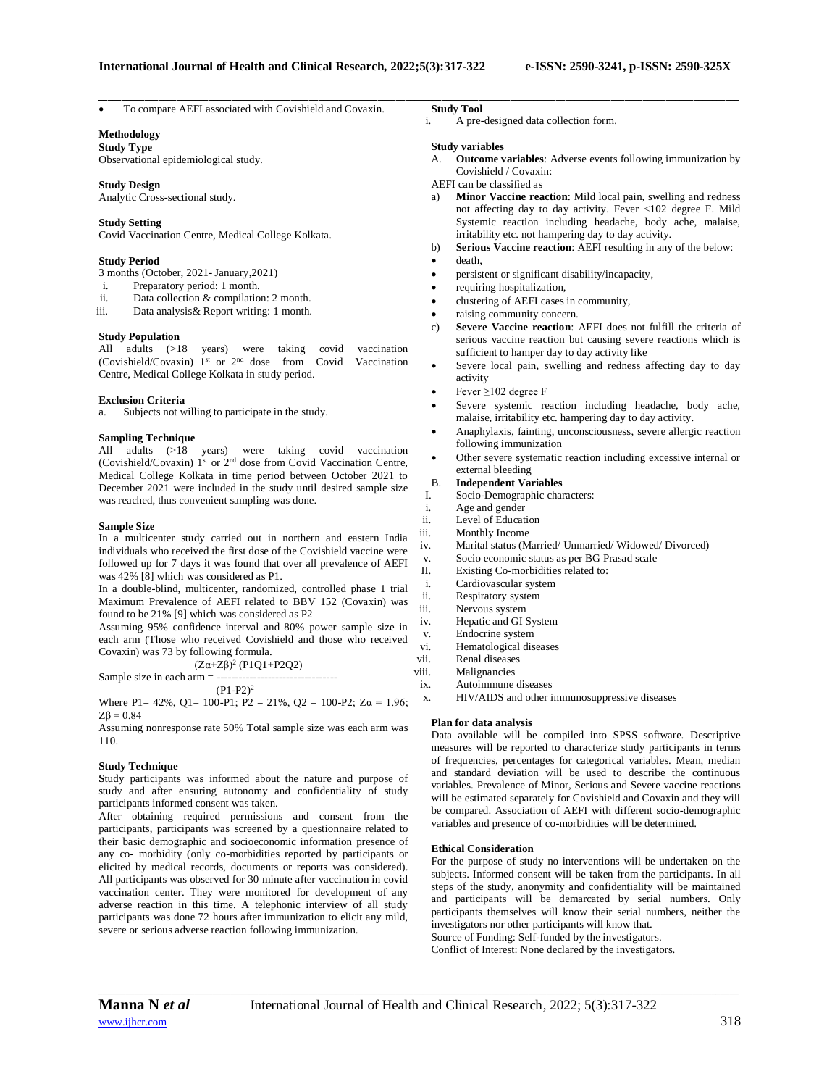To compare AEFI associated with Covishield and Covaxin.

# **Methodology**

**Study Type** Observational epidemiological study.

### **Study Design**

Analytic Cross-sectional study.

# **Study Setting**

Covid Vaccination Centre, Medical College Kolkata.

## **Study Period**

- 3 months (October, 2021- January,2021)
- i. Preparatory period: 1 month.
- ii. Data collection & compilation: 2 month.
- iii. Data analysis& Report writing: 1 month.

# **Study Population**

All adults (>18 years) were taking covid vaccination (Covishield/Covaxin) 1st or 2nd dose from Covid Vaccination Centre, Medical College Kolkata in study period.

#### **Exclusion Criteria**

a. Subjects not willing to participate in the study.

# **Sampling Technique**

All adults (>18 years) were taking covid vaccination (Covishield/Covaxin)  $1<sup>st</sup>$  or  $2<sup>nd</sup>$  dose from Covid Vaccination Centre, Medical College Kolkata in time period between October 2021 to December 2021 were included in the study until desired sample size was reached, thus convenient sampling was done.

#### **Sample Size**

In a multicenter study carried out in northern and eastern India individuals who received the first dose of the Covishield vaccine were followed up for 7 days it was found that over all prevalence of AEFI was 42% [8] which was considered as P1.

In a double-blind, multicenter, randomized, controlled phase 1 trial Maximum Prevalence of AEFI related to BBV 152 (Covaxin) was found to be 21% [9] which was considered as P2

Assuming 95% confidence interval and 80% power sample size in each arm (Those who received Covishield and those who received Covaxin) was 73 by following formula.

(Zα+Zβ)<sup>2</sup> (P1Q1+P2Q2)

Sample size in each arm  $=$  ----- $(P1-P2)^2$ 

Where P1= 42%, Q1= 100-P1; P2 = 21%, Q2 = 100-P2; Z $\alpha$  = 1.96;  $ZB = 0.84$ 

Assuming nonresponse rate 50% Total sample size was each arm was 110.

#### **Study Technique**

**S**tudy participants was informed about the nature and purpose of study and after ensuring autonomy and confidentiality of study participants informed consent was taken.

After obtaining required permissions and consent from the participants, participants was screened by a questionnaire related to their basic demographic and socioeconomic information presence of any co- morbidity (only co-morbidities reported by participants or elicited by medical records, documents or reports was considered). All participants was observed for 30 minute after vaccination in covid vaccination center. They were monitored for development of any adverse reaction in this time. A telephonic interview of all study participants was done 72 hours after immunization to elicit any mild, severe or serious adverse reaction following immunization.

## **Study Tool**

\_\_\_\_\_\_\_\_\_\_\_\_\_\_\_\_\_\_\_\_\_\_\_\_\_\_\_\_\_\_\_\_\_\_\_\_\_\_\_\_\_\_\_\_\_\_\_\_\_\_\_\_\_\_\_\_\_\_\_\_\_\_\_\_\_\_\_\_\_\_\_\_\_\_\_\_\_\_\_\_\_\_\_\_\_\_\_\_\_\_\_\_\_\_\_\_\_\_\_\_\_\_\_\_\_\_\_\_\_\_\_\_\_\_\_\_\_\_\_\_\_\_\_\_\_\_\_\_\_\_\_\_\_\_\_\_\_\_\_\_

i. A pre-designed data collection form.

#### **Study variables**

- A. **Outcome variables**: Adverse events following immunization by Covishield / Covaxin:
- AEFI can be classified as
- a) **Minor Vaccine reaction**: Mild local pain, swelling and redness not affecting day to day activity. Fever <102 degree F. Mild Systemic reaction including headache, body ache, malaise, irritability etc. not hampering day to day activity.
- b) **Serious Vaccine reaction**: AEFI resulting in any of the below:
- death,
- persistent or significant disability/incapacity,
- requiring hospitalization,
- clustering of AEFI cases in community,
- raising community concern.
- c) **Severe Vaccine reaction**: AEFI does not fulfill the criteria of serious vaccine reaction but causing severe reactions which is sufficient to hamper day to day activity like
- Severe local pain, swelling and redness affecting day to day activity
- Fever ≥102 degree F
- Severe systemic reaction including headache, body ache, malaise, irritability etc. hampering day to day activity.
- Anaphylaxis, fainting, unconsciousness, severe allergic reaction following immunization
- Other severe systematic reaction including excessive internal or external bleeding

# B. **Independent Variables**

- I. Socio-Demographic characters:
- i. Age and gender
- ii. Level of Education
- iii. Monthly Income
- iv. Marital status (Married/ Unmarried/ Widowed/ Divorced)
- v. Socio economic status as per BG Prasad scale
- II. Existing Co-morbidities related to:
- i. Cardiovascular system
- ii. Respiratory system
- iii. Nervous system
- iv. Hepatic and GI System v. Endocrine system
- vi. Hematological diseases
- vii. Renal diseases
- viii. Malignancies
- ix. Autoimmune diseases
- x. HIV/AIDS and other immunosuppressive diseases

#### **Plan for data analysis**

Data available will be compiled into SPSS software. Descriptive measures will be reported to characterize study participants in terms of frequencies, percentages for categorical variables. Mean, median and standard deviation will be used to describe the continuous variables. Prevalence of Minor, Serious and Severe vaccine reactions will be estimated separately for Covishield and Covaxin and they will be compared. Association of AEFI with different socio-demographic variables and presence of co-morbidities will be determined.

#### **Ethical Consideration**

For the purpose of study no interventions will be undertaken on the subjects. Informed consent will be taken from the participants. In all steps of the study, anonymity and confidentiality will be maintained and participants will be demarcated by serial numbers. Only participants themselves will know their serial numbers, neither the investigators nor other participants will know that.

Source of Funding: Self-funded by the investigators.

Conflict of Interest: None declared by the investigators.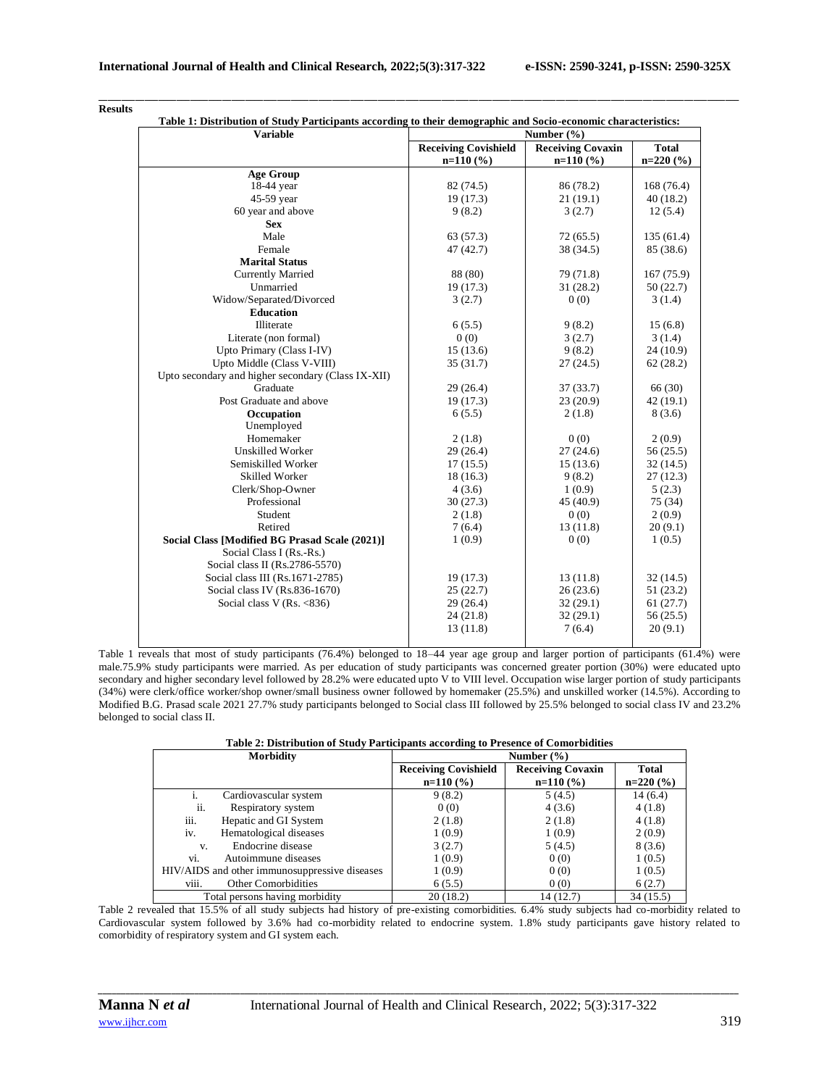| <b>Variable</b>                                    | Table 1: Distribution of Study Participants according to their demographic and Socio-economic characteristics:<br>Number (%) |                          |              |
|----------------------------------------------------|------------------------------------------------------------------------------------------------------------------------------|--------------------------|--------------|
|                                                    | <b>Receiving Covishield</b>                                                                                                  | <b>Receiving Covaxin</b> | <b>Total</b> |
|                                                    | $n=110(%)$                                                                                                                   | $n=110(%)$               | $n=220(%)$   |
| <b>Age Group</b>                                   |                                                                                                                              |                          |              |
| 18-44 year                                         | 82 (74.5)                                                                                                                    | 86 (78.2)                | 168 (76.4)   |
| 45-59 year                                         | 19(17.3)                                                                                                                     | 21(19.1)                 | 40(18.2)     |
| 60 year and above                                  | 9(8.2)                                                                                                                       | 3(2.7)                   | 12(5.4)      |
| <b>Sex</b>                                         |                                                                                                                              |                          |              |
| Male                                               | 63 (57.3)                                                                                                                    | 72(65.5)                 | 135(61.4)    |
| Female                                             | 47 (42.7)                                                                                                                    | 38 (34.5)                | 85 (38.6)    |
| <b>Marital Status</b>                              |                                                                                                                              |                          |              |
| <b>Currently Married</b>                           | 88 (80)                                                                                                                      | 79 (71.8)                | 167 (75.9)   |
| Unmarried                                          | 19(17.3)                                                                                                                     | 31(28.2)                 | 50(22.7)     |
| Widow/Separated/Divorced                           | 3(2.7)                                                                                                                       | 0(0)                     | 3(1.4)       |
| <b>Education</b>                                   |                                                                                                                              |                          |              |
| Illiterate                                         | 6(5.5)                                                                                                                       | 9(8.2)                   | 15(6.8)      |
| Literate (non formal)                              | 0(0)                                                                                                                         | 3(2.7)                   | 3(1.4)       |
| Upto Primary (Class I-IV)                          | 15(13.6)                                                                                                                     | 9(8.2)                   | 24 (10.9)    |
| Upto Middle (Class V-VIII)                         | 35(31.7)                                                                                                                     | 27(24.5)                 | 62(28.2)     |
| Upto secondary and higher secondary (Class IX-XII) |                                                                                                                              |                          |              |
| Graduate                                           | 29(26.4)                                                                                                                     | 37(33.7)                 | 66 (30)      |
| Post Graduate and above                            | 19(17.3)                                                                                                                     | 23(20.9)                 | 42(19.1)     |
| Occupation                                         | 6(5.5)                                                                                                                       | 2(1.8)                   | 8(3.6)       |
| Unemployed                                         |                                                                                                                              |                          |              |
| Homemaker                                          | 2(1.8)                                                                                                                       | 0(0)                     | 2(0.9)       |
| <b>Unskilled Worker</b>                            | 29(26.4)                                                                                                                     | 27(24.6)                 | 56(25.5)     |
| Semiskilled Worker                                 | 17(15.5)                                                                                                                     | 15(13.6)                 | 32(14.5)     |
| <b>Skilled Worker</b>                              | 18(16.3)                                                                                                                     | 9(8.2)                   | 27(12.3)     |
| Clerk/Shop-Owner                                   | 4(3.6)                                                                                                                       | 1(0.9)                   | 5(2.3)       |
| Professional                                       | 30(27.3)                                                                                                                     | 45 (40.9)                | 75 (34)      |
| Student                                            | 2(1.8)                                                                                                                       | 0(0)                     | 2(0.9)       |
| Retired                                            | 7(6.4)                                                                                                                       | 13(11.8)                 | 20(9.1)      |
| Social Class [Modified BG Prasad Scale (2021)]     | 1(0.9)                                                                                                                       | 0(0)                     | 1(0.5)       |
| Social Class I (Rs.-Rs.)                           |                                                                                                                              |                          |              |
| Social class II (Rs.2786-5570)                     |                                                                                                                              |                          |              |
| Social class III (Rs.1671-2785)                    | 19(17.3)                                                                                                                     | 13(11.8)                 | 32(14.5)     |
| Social class IV (Rs.836-1670)                      | 25(22.7)                                                                                                                     | 26(23.6)                 | 51(23.2)     |
| Social class V $(Rs. < 836)$                       | 29(26.4)                                                                                                                     | 32(29.1)                 | 61(27.7)     |
|                                                    | 24 (21.8)                                                                                                                    | 32(29.1)                 | 56(25.5)     |
|                                                    | 13(11.8)                                                                                                                     | 7(6.4)                   | 20(9.1)      |

#### \_\_\_\_\_\_\_\_\_\_\_\_\_\_\_\_\_\_\_\_\_\_\_\_\_\_\_\_\_\_\_\_\_\_\_\_\_\_\_\_\_\_\_\_\_\_\_\_\_\_\_\_\_\_\_\_\_\_\_\_\_\_\_\_\_\_\_\_\_\_\_\_\_\_\_\_\_\_\_\_\_\_\_\_\_\_\_\_\_\_\_\_\_\_\_\_\_\_\_\_\_\_\_\_\_\_\_\_\_\_\_\_\_\_\_\_\_\_\_\_\_\_\_\_\_\_\_\_\_\_\_\_\_\_\_\_\_\_\_\_ **Results**

Table 1 reveals that most of study participants (76.4%) belonged to 18–44 year age group and larger portion of participants (61.4%) were male.75.9% study participants were married. As per education of study participants was concerned greater portion (30%) were educated upto secondary and higher secondary level followed by 28.2% were educated upto V to VIII level. Occupation wise larger portion of study participants (34%) were clerk/office worker/shop owner/small business owner followed by homemaker (25.5%) and unskilled worker (14.5%). According to Modified B.G. Prasad scale 2021 27.7% study participants belonged to Social class III followed by 25.5% belonged to social class IV and 23.2% belonged to social class II.

|  |  | Table 2: Distribution of Study Participants according to Presence of Comorbidities |
|--|--|------------------------------------------------------------------------------------|
|  |  |                                                                                    |

| <b>Morbidity</b>                              | Number $(\% )$              |                          |              |
|-----------------------------------------------|-----------------------------|--------------------------|--------------|
|                                               | <b>Receiving Covishield</b> | <b>Receiving Covaxin</b> | <b>Total</b> |
|                                               | $n=110(%)$                  | $n=110(%)$               | $n=220(%)$   |
| Cardiovascular system                         | 9(8.2)                      | 5(4.5)                   | 14(6.4)      |
| ii.<br>Respiratory system                     | 0(0)                        | 4(3.6)                   | 4(1.8)       |
| iii.<br>Hepatic and GI System                 | 2(1.8)                      | 2(1.8)                   | 4(1.8)       |
| iv.<br>Hematological diseases                 | 1(0.9)                      | 1(0.9)                   | 2(0.9)       |
| Endocrine disease<br>V.                       | 3(2.7)                      | 5(4.5)                   | 8(3.6)       |
| Autoimmune diseases<br>Vİ.                    | 1(0.9)                      | 0(0)                     | 1(0.5)       |
| HIV/AIDS and other immunosuppressive diseases | 1(0.9)                      | 0(0)                     | 1(0.5)       |
| viii.<br><b>Other Comorbidities</b>           | 6(5.5)                      | 0(0)                     | 6(2.7)       |
| Total persons having morbidity                | 20(18.2)                    | 14 (12.7)                | 34(15.5)     |

Table 2 revealed that 15.5% of all study subjects had history of pre-existing comorbidities. 6.4% study subjects had co-morbidity related to Cardiovascular system followed by 3.6% had co-morbidity related to endocrine system. 1.8% study participants gave history related to comorbidity of respiratory system and GI system each.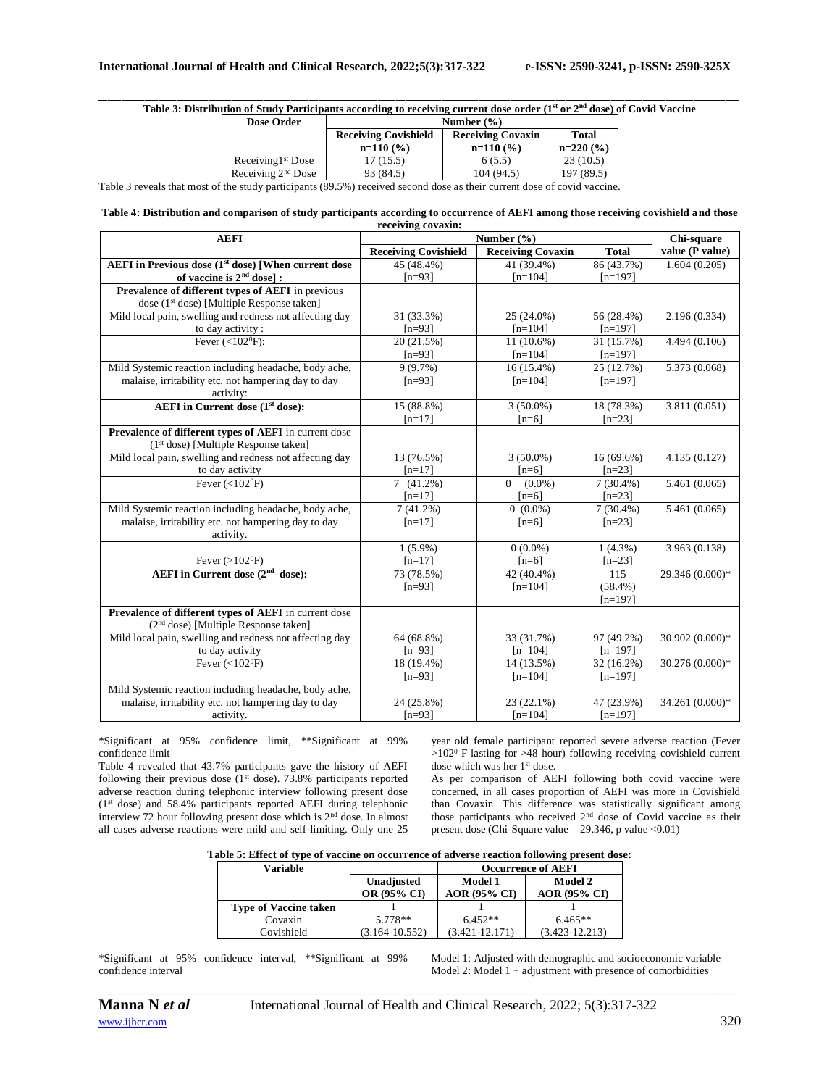\_\_\_\_\_\_\_\_\_\_\_\_\_\_\_\_\_\_\_\_\_\_\_\_\_\_\_\_\_\_\_\_\_\_\_\_\_\_\_\_\_\_\_\_\_\_\_\_\_\_\_\_\_\_\_\_\_\_\_\_\_\_\_\_\_\_\_\_\_\_\_\_\_\_\_\_\_\_\_\_\_\_\_\_\_\_\_\_\_\_\_\_\_\_\_\_\_\_\_\_\_\_\_\_\_\_\_\_\_\_\_\_\_\_\_\_\_\_\_\_\_\_\_\_\_\_\_\_\_\_\_\_\_\_\_\_\_\_\_\_ **Table 3: Distribution of Study Participants according to receiving current dose order (1st or 2nd dose) of Covid Vaccine**

| Dose Order           | Number $(\frac{6}{6})$                                  |             |            |
|----------------------|---------------------------------------------------------|-------------|------------|
|                      | <b>Receiving Covishield</b><br><b>Receiving Covaxin</b> |             | Total      |
|                      | $n=110(%)$                                              | $n=110(96)$ | $n=220(%)$ |
| Receiving $1st$ Dose | 17(15.5)                                                | 6 (5.5)     | 23(10.5)   |
| Receiving $2nd$ Dose | 93 (84.5)                                               | 104 (94.5)  | 197 (89.5) |

Table 3 reveals that most of the study participants (89.5%) received second dose as their current dose of covid vaccine.

#### **Table 4: Distribution and comparison of study participants according to occurrence of AEFI among those receiving covishield and those receiving covaxin:**

| <b>AEFI</b>                                                     | Number $(\% )$              |                          |              | Chi-square      |
|-----------------------------------------------------------------|-----------------------------|--------------------------|--------------|-----------------|
|                                                                 | <b>Receiving Covishield</b> | <b>Receiving Covaxin</b> | <b>Total</b> | value (P value) |
| AEFI in Previous dose (1 <sup>st</sup> dose) [When current dose | 45 (48.4%)                  | 41 (39.4%)               | 86 (43.7%)   | 1.604(0.205)    |
| of vaccine is $2nd$ dose] :                                     | $[n=93]$                    | $[n=104]$                | $[n=197]$    |                 |
| Prevalence of different types of AEFI in previous               |                             |                          |              |                 |
| dose (1 <sup>st</sup> dose) [Multiple Response taken]           |                             |                          |              |                 |
| Mild local pain, swelling and redness not affecting day         | 31 (33.3%)                  | 25 (24.0%)               | 56 (28.4%)   | 2.196 (0.334)   |
| to day activity :                                               | $[n=93]$                    | $[n=104]$                | $[n=197]$    |                 |
| Fever $(<102^0F)$ :                                             | 20 (21.5%)                  | 11 (10.6%)               | 31 (15.7%)   | 4.494 (0.106)   |
|                                                                 | $[n=93]$                    | $[n=104]$                | $[n=197]$    |                 |
| Mild Systemic reaction including headache, body ache,           | 9(9.7%)                     | $16(15.4\%)$             | 25 (12.7%)   | 5.373 (0.068)   |
| malaise, irritability etc. not hampering day to day             | $[n=93]$                    | $[n=104]$                | $[n=197]$    |                 |
| activity:                                                       |                             |                          |              |                 |
| <b>AEFI</b> in Current dose (1 <sup>st</sup> dose):             | 15 (88.8%)                  | $3(50.0\%)$              | 18 (78.3%)   | 3.811(0.051)    |
|                                                                 | $[n=17]$                    | $[n=6]$                  | $[n=23]$     |                 |
| Prevalence of different types of AEFI in current dose           |                             |                          |              |                 |
| (1 <sup>st</sup> dose) [Multiple Response taken]                |                             |                          |              |                 |
| Mild local pain, swelling and redness not affecting day         | 13 (76.5%)                  | $3(50.0\%)$              | $16(69.6\%)$ | 4.135(0.127)    |
| to day activity                                                 | $[n=17]$                    | $[n=6]$                  | $[n=23]$     |                 |
| Fever $(<102^{\circ}F)$                                         | 7(41.2%)                    | $0 (0.0\%)$              | $7(30.4\%)$  | 5.461 (0.065)   |
|                                                                 | $[n=17]$                    | $[n=6]$                  | $[n=23]$     |                 |
| Mild Systemic reaction including headache, body ache,           | 7(41.2%)                    | $0(0.0\%)$               | $7(30.4\%)$  | 5.461 (0.065)   |
| malaise, irritability etc. not hampering day to day             | $[n=17]$                    | $[n=6]$                  | $[n=23]$     |                 |
| activity.                                                       |                             |                          |              |                 |
|                                                                 | $1(5.9\%)$                  | $0(0.0\%)$               | $1(4.3\%)$   | 3.963 (0.138)   |
| Fever $(>102$ <sup>0</sup> F)                                   | $[n=17]$                    | $[n=6]$                  | $[n=23]$     |                 |
| AEFI in Current dose (2 <sup>nd</sup> dose):                    | 73 (78.5%)                  | 42 (40.4%)               | 115          | 29.346 (0.000)* |
|                                                                 | $[n=93]$                    | $[n=104]$                | $(58.4\%)$   |                 |
|                                                                 |                             |                          | $[n=197]$    |                 |
| Prevalence of different types of AEFI in current dose           |                             |                          |              |                 |
| $(2nd dose)$ [Multiple Response taken]                          |                             |                          |              |                 |
| Mild local pain, swelling and redness not affecting day         | 64 (68.8%)                  | 33 (31.7%)               | 97 (49.2%)   | 30.902 (0.000)* |
| to day activity                                                 | $[n=93]$                    | $[n=104]$                | $[n=197]$    |                 |
| Fever $(<102^{\circ}F)$                                         | 18 (19.4%)                  | 14 (13.5%)               | 32 (16.2%)   | 30.276 (0.000)* |
|                                                                 | $[n=93]$                    | $[n=104]$                | $[n=197]$    |                 |
| Mild Systemic reaction including headache, body ache,           |                             |                          |              |                 |
| malaise, irritability etc. not hampering day to day             | 24 (25.8%)                  | 23 (22.1%)               | 47 (23.9%)   | 34.261 (0.000)* |
| activity.                                                       | $[n=93]$                    | $[n=104]$                | $[n=197]$    |                 |

\*Significant at 95% confidence limit, \*\*Significant at 99% confidence limit

Table 4 revealed that 43.7% participants gave the history of AEFI following their previous dose  $(1<sup>st</sup>$  dose). 73.8% participants reported adverse reaction during telephonic interview following present dose (1st dose) and 58.4% participants reported AEFI during telephonic interview 72 hour following present dose which is 2nd dose. In almost all cases adverse reactions were mild and self-limiting. Only one 25 year old female participant reported severe adverse reaction (Fever  $>102$ <sup>0</sup> F lasting for  $>48$  hour) following receiving covishield current dose which was her 1<sup>st</sup> dose.

As per comparison of AEFI following both covid vaccine were concerned, in all cases proportion of AEFI was more in Covishield than Covaxin. This difference was statistically significant among those participants who received 2nd dose of Covid vaccine as their present dose (Chi-Square value =  $29.346$ , p value <0.01)

**Table 5: Effect of type of vaccine on occurrence of adverse reaction following present dose:**

| Variable                     |                    | <b>Occurrence of AEFI</b> |                     |
|------------------------------|--------------------|---------------------------|---------------------|
|                              | Unadjusted         | Model 1                   | <b>Model 2</b>      |
|                              | <b>OR (95% CI)</b> | <b>AOR (95% CI)</b>       | <b>AOR (95% CI)</b> |
| <b>Type of Vaccine taken</b> |                    |                           |                     |
| Covaxin                      | 5.778**            | $6.452**$                 | $6.465**$           |
| Covishield                   | $(3.164 - 10.552)$ | $(3.421 - 12.171)$        | $(3.423 - 12.213)$  |

*\_\_\_\_\_\_\_\_\_\_\_\_\_\_\_\_\_\_\_\_\_\_\_\_\_\_\_\_\_\_\_\_\_\_\_\_\_\_\_\_\_\_\_\_\_\_\_\_\_\_\_\_\_\_\_\_\_\_\_\_\_\_\_\_\_\_\_\_\_\_\_\_\_\_\_\_\_\_\_\_\_\_\_\_\_\_\_\_\_\_\_\_\_\_\_\_\_\_\_\_\_\_\_\_\_\_\_\_\_\_\_\_\_\_\_\_\_\_\_\_\_\_\_\_\_\_\_\_\_\_\_\_\_\_\_\_\_\_\_\_*

\*Significant at 95% confidence interval, \*\*Significant at 99% confidence interval

Model 1: Adjusted with demographic and socioeconomic variable Model 2: Model 1 + adjustment with presence of comorbidities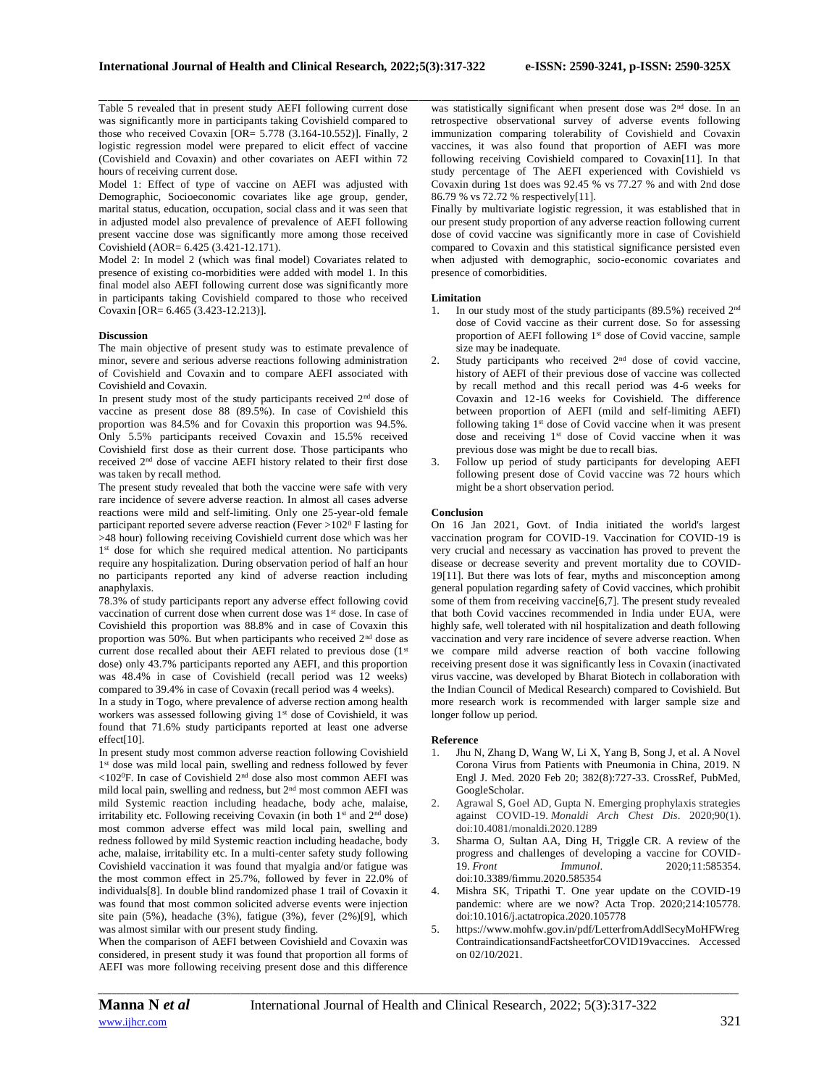Table 5 revealed that in present study AEFI following current dose was significantly more in participants taking Covishield compared to those who received Covaxin [OR= 5.778 (3.164-10.552)]. Finally, 2 logistic regression model were prepared to elicit effect of vaccine (Covishield and Covaxin) and other covariates on AEFI within 72 hours of receiving current dose.

Model 1: Effect of type of vaccine on AEFI was adjusted with Demographic, Socioeconomic covariates like age group, gender, marital status, education, occupation, social class and it was seen that in adjusted model also prevalence of prevalence of AEFI following present vaccine dose was significantly more among those received Covishield (AOR= 6.425 (3.421-12.171).

Model 2: In model 2 (which was final model) Covariates related to presence of existing co-morbidities were added with model 1. In this final model also AEFI following current dose was significantly more in participants taking Covishield compared to those who received Covaxin [OR= 6.465 (3.423-12.213)].

# **Discussion**

The main objective of present study was to estimate prevalence of minor, severe and serious adverse reactions following administration of Covishield and Covaxin and to compare AEFI associated with Covishield and Covaxin.

In present study most of the study participants received  $2<sup>nd</sup>$  dose of vaccine as present dose 88 (89.5%). In case of Covishield this proportion was 84.5% and for Covaxin this proportion was 94.5%. Only 5.5% participants received Covaxin and 15.5% received Covishield first dose as their current dose. Those participants who received 2<sup>nd</sup> dose of vaccine AEFI history related to their first dose was taken by recall method.

The present study revealed that both the vaccine were safe with very rare incidence of severe adverse reaction. In almost all cases adverse reactions were mild and self-limiting. Only one 25-year-old female participant reported severe adverse reaction (Fever  $>102^{\circ}$  F lasting for >48 hour) following receiving Covishield current dose which was her 1<sup>st</sup> dose for which she required medical attention. No participants require any hospitalization. During observation period of half an hour no participants reported any kind of adverse reaction including anaphylaxis.

78.3% of study participants report any adverse effect following covid vaccination of current dose when current dose was 1<sup>st</sup> dose. In case of Covishield this proportion was 88.8% and in case of Covaxin this proportion was 50%. But when participants who received 2nd dose as current dose recalled about their AEFI related to previous dose (1st dose) only 43.7% participants reported any AEFI, and this proportion was 48.4% in case of Covishield (recall period was 12 weeks) compared to 39.4% in case of Covaxin (recall period was 4 weeks).

In a study in Togo, where prevalence of adverse rection among health workers was assessed following giving 1<sup>st</sup> dose of Covishield, it was found that 71.6% study participants reported at least one adverse effect[10].

In present study most common adverse reaction following Covishield 1<sup>st</sup> dose was mild local pain, swelling and redness followed by fever <102<sup>0</sup>F. In case of Covishield 2nd dose also most common AEFI was mild local pain, swelling and redness, but 2nd most common AEFI was mild Systemic reaction including headache, body ache, malaise, irritability etc. Following receiving Covaxin (in both 1st and 2nd dose) most common adverse effect was mild local pain, swelling and redness followed by mild Systemic reaction including headache, body ache, malaise, irritability etc. In a multi-center safety study following Covishield vaccination it was found that myalgia and/or fatigue was the most common effect in 25.7%, followed by fever in 22.0% of individuals[8]. In double blind randomized phase 1 trail of Covaxin it was found that most common solicited adverse events were injection site pain (5%), headache (3%), fatigue (3%), fever (2%)[9], which was almost similar with our present study finding.

When the comparison of AEFI between Covishield and Covaxin was considered, in present study it was found that proportion all forms of AEFI was more following receiving present dose and this difference

\_\_\_\_\_\_\_\_\_\_\_\_\_\_\_\_\_\_\_\_\_\_\_\_\_\_\_\_\_\_\_\_\_\_\_\_\_\_\_\_\_\_\_\_\_\_\_\_\_\_\_\_\_\_\_\_\_\_\_\_\_\_\_\_\_\_\_\_\_\_\_\_\_\_\_\_\_\_\_\_\_\_\_\_\_\_\_\_\_\_\_\_\_\_\_\_\_\_\_\_\_\_\_\_\_\_\_\_\_\_\_\_\_\_\_\_\_\_\_\_\_\_\_\_\_\_\_\_\_\_\_\_\_\_\_\_\_\_\_\_ was statistically significant when present dose was 2<sup>nd</sup> dose. In an retrospective observational survey of adverse events following immunization comparing tolerability of Covishield and Covaxin vaccines, it was also found that proportion of AEFI was more following receiving Covishield compared to Covaxin[11]. In that study percentage of The AEFI experienced with Covishield vs Covaxin during 1st does was 92.45 % vs 77.27 % and with 2nd dose 86.79 % vs 72.72 % respectively[11].

Finally by multivariate logistic regression, it was established that in our present study proportion of any adverse reaction following current dose of covid vaccine was significantly more in case of Covishield compared to Covaxin and this statistical significance persisted even when adjusted with demographic, socio-economic covariates and presence of comorbidities.

#### **Limitation**

- 1. In our study most of the study participants (89.5%) received 2nd dose of Covid vaccine as their current dose. So for assessing proportion of AEFI following 1<sup>st</sup> dose of Covid vaccine, sample size may be inadequate.
- 2. Study participants who received 2nd dose of covid vaccine, history of AEFI of their previous dose of vaccine was collected by recall method and this recall period was 4-6 weeks for Covaxin and 12-16 weeks for Covishield. The difference between proportion of AEFI (mild and self-limiting AEFI) following taking 1<sup>st</sup> dose of Covid vaccine when it was present dose and receiving 1st dose of Covid vaccine when it was previous dose was might be due to recall bias.
- 3. Follow up period of study participants for developing AEFI following present dose of Covid vaccine was 72 hours which might be a short observation period.

# **Conclusion**

On 16 Jan 2021, Govt. of India initiated the world's largest vaccination program for COVID-19. Vaccination for COVID-19 is very crucial and necessary as vaccination has proved to prevent the disease or decrease severity and prevent mortality due to COVID-19[11]. But there was lots of fear, myths and misconception among general population regarding safety of Covid vaccines, which prohibit some of them from receiving vaccine[6,7]. The present study revealed that both Covid vaccines recommended in India under EUA, were highly safe, well tolerated with nil hospitalization and death following vaccination and very rare incidence of severe adverse reaction. When we compare mild adverse reaction of both vaccine following receiving present dose it was significantly less in Covaxin (inactivated virus vaccine, was developed by Bharat Biotech in collaboration with the Indian Council of Medical Research) compared to Covishield. But more research work is recommended with larger sample size and longer follow up period.

# **Reference**

- 1. Jhu N, Zhang D, Wang W, Li X, Yang B, Song J, et al. A Novel Corona Virus from Patients with Pneumonia in China, 2019. N Engl J. Med. 2020 Feb 20; 382(8):727-33. CrossRef, PubMed, GoogleScholar.
- 2. Agrawal S, Goel AD, Gupta N. Emerging prophylaxis strategies against COVID-19. *Monaldi Arch Chest Dis*. 2020;90(1). doi:10.4081/monaldi.2020.1289
- 3. Sharma O, Sultan AA, Ding H, Triggle CR. A review of the progress and challenges of developing a vaccine for COVID-19. *Front Immunol*. 2020;11:585354. doi:10.3389/fimmu.2020.585354
- 4. Mishra SK, Tripathi T. One year update on the COVID-19 pandemic: where are we now? Acta Trop. 2020;214:105778. doi:10.1016/j.actatropica.2020.105778
- 5. https://www.mohfw.gov.in/pdf/LetterfromAddlSecyMoHFWreg ContraindicationsandFactsheetforCOVID19vaccines. Accessed on 02/10/2021.